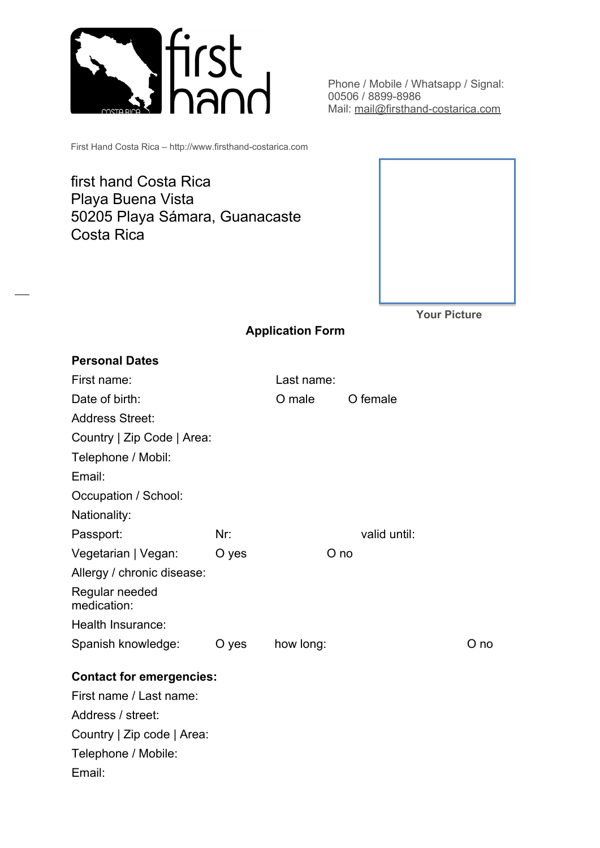

Phone / Mobile / Whatsapp / Signal: 00506 / 8899-8986 Mail: [mail@firsthand-costarica.com](mailto:mail@firsthand-costarica.com)

First Hand Costa Rica – http://www.firsthand-costarica.com

first hand Costa Rica Playa Buena Vista 50205 Playa Sámara, Guanacaste Costa Rica



**Your Picture**

## **Application Form**

| <b>Personal Dates</b>           |       |            |              |      |  |  |
|---------------------------------|-------|------------|--------------|------|--|--|
| First name:                     |       | Last name: |              |      |  |  |
| Date of birth:                  |       | O male     | O female     |      |  |  |
| <b>Address Street:</b>          |       |            |              |      |  |  |
| Country   Zip Code   Area:      |       |            |              |      |  |  |
| Telephone / Mobil:              |       |            |              |      |  |  |
| Email:                          |       |            |              |      |  |  |
| Occupation / School:            |       |            |              |      |  |  |
| Nationality:                    |       |            |              |      |  |  |
| Passport:                       | Nr:   |            | valid until: |      |  |  |
| Vegetarian   Vegan:             | O yes | O no       |              |      |  |  |
| Allergy / chronic disease:      |       |            |              |      |  |  |
| Regular needed<br>medication:   |       |            |              |      |  |  |
| Health Insurance:               |       |            |              |      |  |  |
| Spanish knowledge:              | O yes | how long:  |              | O no |  |  |
| <b>Contact for emergencies:</b> |       |            |              |      |  |  |
| First name / Last name:         |       |            |              |      |  |  |
| Address / street:               |       |            |              |      |  |  |
| Country   Zip code   Area:      |       |            |              |      |  |  |
| Telephone / Mobile:             |       |            |              |      |  |  |
| Email:                          |       |            |              |      |  |  |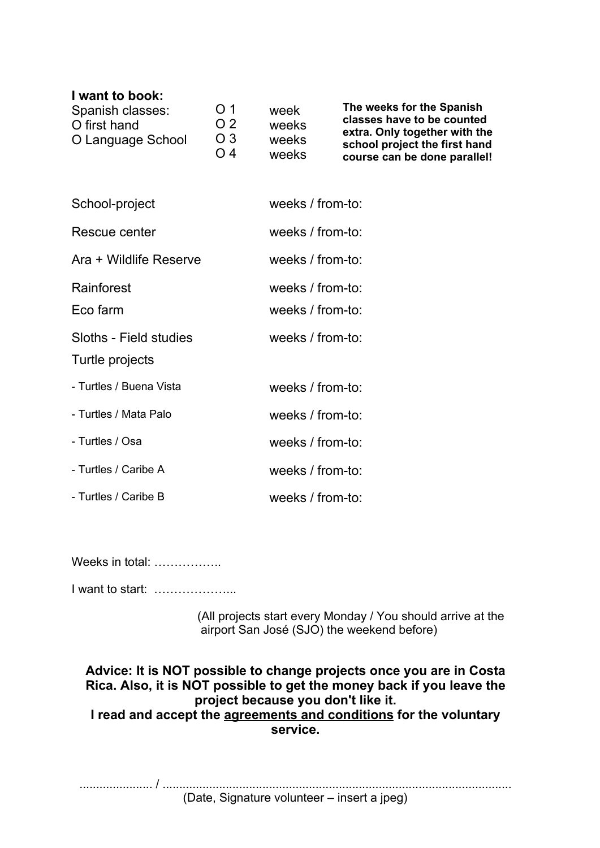## **I want to book:**

| Spanish classes:<br>O first hand<br>O Language School | O <sub>1</sub><br>O 2<br>O <sub>3</sub><br>$\bigcap$ 4 | week<br>weeks<br>weeks | The weeks for the Spanish<br>classes have to be counted<br>extra. Only together with the<br>school project the first hand |
|-------------------------------------------------------|--------------------------------------------------------|------------------------|---------------------------------------------------------------------------------------------------------------------------|
|                                                       |                                                        | weeks                  | course can be done parallel!                                                                                              |

| School-project          | weeks $/$ from-to: |
|-------------------------|--------------------|
| Rescue center           | weeks $/$ from-to: |
| Ara + Wildlife Reserve  | weeks / from-to:   |
| Rainforest              | weeks / from-to:   |
| Eco farm                | weeks / from-to:   |
| Sloths - Field studies  | weeks $/$ from-to: |
| Turtle projects         |                    |
| - Turtles / Buena Vista | weeks / from-to:   |
| - Turtles / Mata Palo   | weeks / from-to:   |
| - Turtles / Osa         | weeks / from-to:   |
| - Turtles / Caribe A    | weeks / from-to:   |
| - Turtles / Caribe B    | weeks $/$ from-to: |

Weeks in total: ..................

I want to start: ………………...

(All projects start every Monday / You should arrive at the airport San José (SJO) the weekend before)

**Advice: It is NOT possible to change projects once you are in Costa Rica. Also, it is NOT possible to get the money back if you leave the project because you don't like it. I read and accept the agreements and conditions for the voluntary service.**

...................... / .........................................................................................................

(Date, Signature volunteer – insert a jpeg)